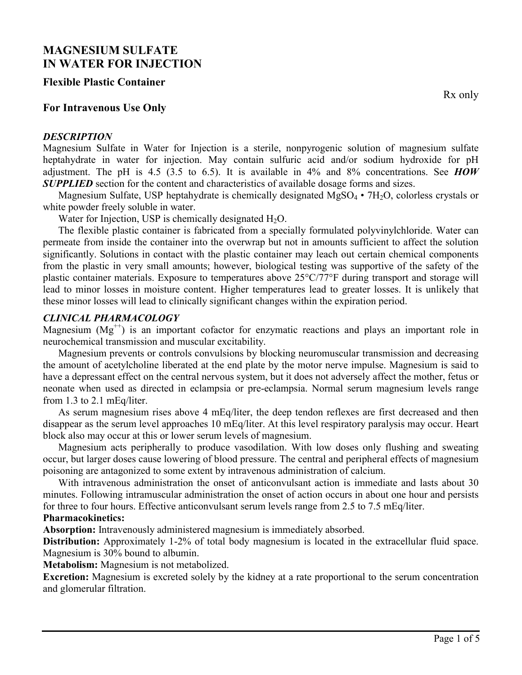# **MAGNESIUM SULFATE IN WATER FOR INJECTION**

#### **Flexible Plastic Container**

### **For Intravenous Use Only**

#### *DESCRIPTION*

Rx only

Magnesium Sulfate in Water for Injection is a sterile, nonpyrogenic solution of magnesium sulfate heptahydrate in water for injection. May contain sulfuric acid and/or sodium hydroxide for pH adjustment. The pH is 4.5 (3.5 to 6.5). It is available in 4% and 8% concentrations. See *HOW SUPPLIED* section for the content and characteristics of available dosage forms and sizes.

Magnesium Sulfate, USP heptahydrate is chemically designated  $MgSO_4 \cdot 7H_2O$ , colorless crystals or white powder freely soluble in water.

Water for Injection, USP is chemically designated  $H_2O$ .

The flexible plastic container is fabricated from a specially formulated polyvinylchloride. Water can permeate from inside the container into the overwrap but not in amounts sufficient to affect the solution significantly. Solutions in contact with the plastic container may leach out certain chemical components from the plastic in very small amounts; however, biological testing was supportive of the safety of the plastic container materials. Exposure to temperatures above 25°C/77°F during transport and storage will lead to minor losses in moisture content. Higher temperatures lead to greater losses. It is unlikely that these minor losses will lead to clinically significant changes within the expiration period.

#### *CLINICAL PHARMACOLOGY*

Magnesium  $(Mg<sup>++</sup>)$  is an important cofactor for enzymatic reactions and plays an important role in neurochemical transmission and muscular excitability.

Magnesium prevents or controls convulsions by blocking neuromuscular transmission and decreasing the amount of acetylcholine liberated at the end plate by the motor nerve impulse. Magnesium is said to have a depressant effect on the central nervous system, but it does not adversely affect the mother, fetus or neonate when used as directed in eclampsia or pre-eclampsia. Normal serum magnesium levels range from 1.3 to 2.1 mEq/liter.

As serum magnesium rises above 4 mEq/liter, the deep tendon reflexes are first decreased and then disappear as the serum level approaches 10 mEq/liter. At this level respiratory paralysis may occur. Heart block also may occur at this or lower serum levels of magnesium.

Magnesium acts peripherally to produce vasodilation. With low doses only flushing and sweating occur, but larger doses cause lowering of blood pressure. The central and peripheral effects of magnesium poisoning are antagonized to some extent by intravenous administration of calcium.

With intravenous administration the onset of anticonvulsant action is immediate and lasts about 30 minutes. Following intramuscular administration the onset of action occurs in about one hour and persists for three to four hours. Effective anticonvulsant serum levels range from 2.5 to 7.5 mEq/liter.

#### **Pharmacokinetics:**

**Absorption:** Intravenously administered magnesium is immediately absorbed.

**Distribution:** Approximately 1-2% of total body magnesium is located in the extracellular fluid space. Magnesium is 30% bound to albumin.

**Metabolism:** Magnesium is not metabolized.

**Excretion:** Magnesium is excreted solely by the kidney at a rate proportional to the serum concentration and glomerular filtration.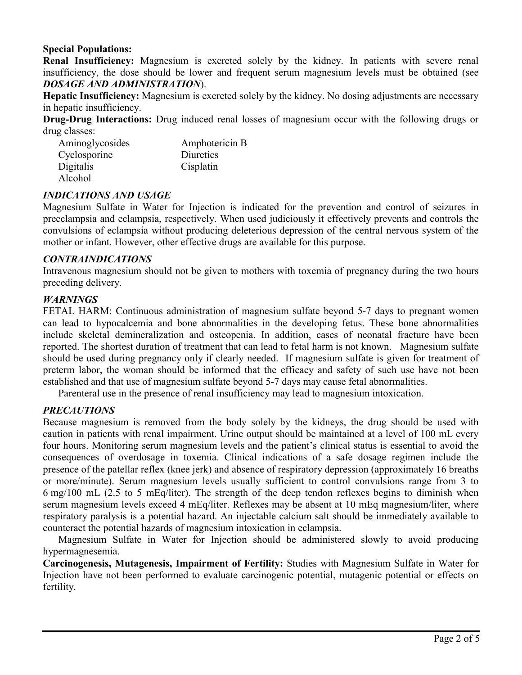## **Special Populations:**

**Renal Insufficiency:** Magnesium is excreted solely by the kidney. In patients with severe renal insufficiency, the dose should be lower and frequent serum magnesium levels must be obtained (see *DOSAGE AND ADMINISTRATION*).

**Hepatic Insufficiency:** Magnesium is excreted solely by the kidney. No dosing adjustments are necessary in hepatic insufficiency.

**Drug-Drug Interactions:** Drug induced renal losses of magnesium occur with the following drugs or drug classes:

| Aminoglycosides | Amphotericin B |  |  |
|-----------------|----------------|--|--|
| Cyclosporine    | Diuretics      |  |  |
| Digitalis       | Cisplatin      |  |  |
| Alcohol         |                |  |  |

#### *INDICATIONS AND USAGE*

Magnesium Sulfate in Water for Injection is indicated for the prevention and control of seizures in preeclampsia and eclampsia, respectively. When used judiciously it effectively prevents and controls the convulsions of eclampsia without producing deleterious depression of the central nervous system of the mother or infant. However, other effective drugs are available for this purpose.

#### *CONTRAINDICATIONS*

Intravenous magnesium should not be given to mothers with toxemia of pregnancy during the two hours preceding delivery.

#### *WARNINGS*

FETAL HARM: Continuous administration of magnesium sulfate beyond 5-7 days to pregnant women can lead to hypocalcemia and bone abnormalities in the developing fetus. These bone abnormalities include skeletal demineralization and osteopenia. In addition, cases of neonatal fracture have been reported. The shortest duration of treatment that can lead to fetal harm is not known. Magnesium sulfate should be used during pregnancy only if clearly needed. If magnesium sulfate is given for treatment of preterm labor, the woman should be informed that the efficacy and safety of such use have not been established and that use of magnesium sulfate beyond 5-7 days may cause fetal abnormalities.

Parenteral use in the presence of renal insufficiency may lead to magnesium intoxication.

## *PRECAUTIONS*

Because magnesium is removed from the body solely by the kidneys, the drug should be used with caution in patients with renal impairment. Urine output should be maintained at a level of 100 mL every four hours. Monitoring serum magnesium levels and the patient's clinical status is essential to avoid the consequences of overdosage in toxemia. Clinical indications of a safe dosage regimen include the presence of the patellar reflex (knee jerk) and absence of respiratory depression (approximately 16 breaths or more/minute). Serum magnesium levels usually sufficient to control convulsions range from 3 to 6 mg/100 mL (2.5 to 5 mEq/liter). The strength of the deep tendon reflexes begins to diminish when serum magnesium levels exceed 4 mEq/liter. Reflexes may be absent at 10 mEq magnesium/liter, where respiratory paralysis is a potential hazard. An injectable calcium salt should be immediately available to counteract the potential hazards of magnesium intoxication in eclampsia.

Magnesium Sulfate in Water for Injection should be administered slowly to avoid producing hypermagnesemia.

**Carcinogenesis, Mutagenesis, Impairment of Fertility:** Studies with Magnesium Sulfate in Water for Injection have not been performed to evaluate carcinogenic potential, mutagenic potential or effects on fertility.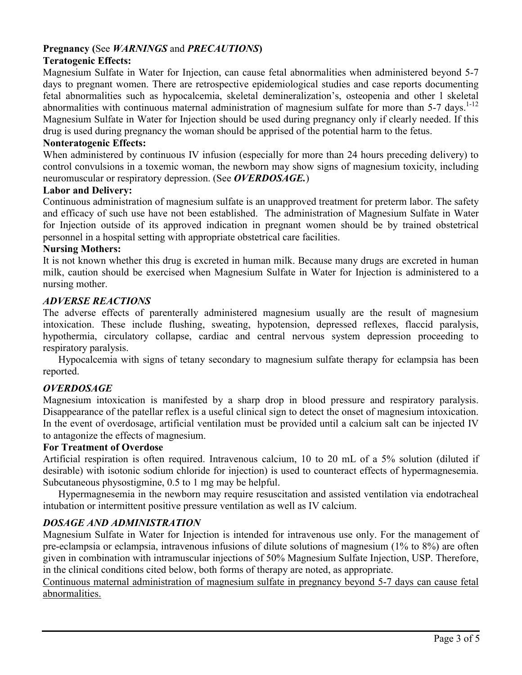## **Pregnancy (**See *WARNINGS* and *PRECAUTIONS***)**

## **Teratogenic Effects:**

Magnesium Sulfate in Water for Injection, can cause fetal abnormalities when administered beyond 5-7 days to pregnant women. There are retrospective epidemiological studies and case reports documenting fetal abnormalities such as hypocalcemia, skeletal demineralization's, osteopenia and other l skeletal abnormalities with continuous maternal administration of magnesium sulfate for more than  $5-7$  days.<sup>1-12</sup> Magnesium Sulfate in Water for Injection should be used during pregnancy only if clearly needed. If this drug is used during pregnancy the woman should be apprised of the potential harm to the fetus.

#### **Nonteratogenic Effects:**

When administered by continuous IV infusion (especially for more than 24 hours preceding delivery) to control convulsions in a toxemic woman, the newborn may show signs of magnesium toxicity, including neuromuscular or respiratory depression. (See *OVERDOSAGE.*)

#### **Labor and Delivery:**

Continuous administration of magnesium sulfate is an unapproved treatment for preterm labor. The safety and efficacy of such use have not been established. The administration of Magnesium Sulfate in Water for Injection outside of its approved indication in pregnant women should be by trained obstetrical personnel in a hospital setting with appropriate obstetrical care facilities.

#### **Nursing Mothers:**

It is not known whether this drug is excreted in human milk. Because many drugs are excreted in human milk, caution should be exercised when Magnesium Sulfate in Water for Injection is administered to a nursing mother.

#### *ADVERSE REACTIONS*

The adverse effects of parenterally administered magnesium usually are the result of magnesium intoxication. These include flushing, sweating, hypotension, depressed reflexes, flaccid paralysis, hypothermia, circulatory collapse, cardiac and central nervous system depression proceeding to respiratory paralysis.

Hypocalcemia with signs of tetany secondary to magnesium sulfate therapy for eclampsia has been reported.

## *OVERDOSAGE*

Magnesium intoxication is manifested by a sharp drop in blood pressure and respiratory paralysis. Disappearance of the patellar reflex is a useful clinical sign to detect the onset of magnesium intoxication. In the event of overdosage, artificial ventilation must be provided until a calcium salt can be injected IV to antagonize the effects of magnesium.

#### **For Treatment of Overdose**

Artificial respiration is often required. Intravenous calcium, 10 to 20 mL of a 5% solution (diluted if desirable) with isotonic sodium chloride for injection) is used to counteract effects of hypermagnesemia. Subcutaneous physostigmine, 0.5 to 1 mg may be helpful.

Hypermagnesemia in the newborn may require resuscitation and assisted ventilation via endotracheal intubation or intermittent positive pressure ventilation as well as IV calcium.

## *DOSAGE AND ADMINISTRATION*

Magnesium Sulfate in Water for Injection is intended for intravenous use only. For the management of pre-eclampsia or eclampsia, intravenous infusions of dilute solutions of magnesium (1% to 8%) are often given in combination with intramuscular injections of 50% Magnesium Sulfate Injection, USP. Therefore, in the clinical conditions cited below, both forms of therapy are noted, as appropriate.

Continuous maternal administration of magnesium sulfate in pregnancy beyond 5-7 days can cause fetal abnormalities.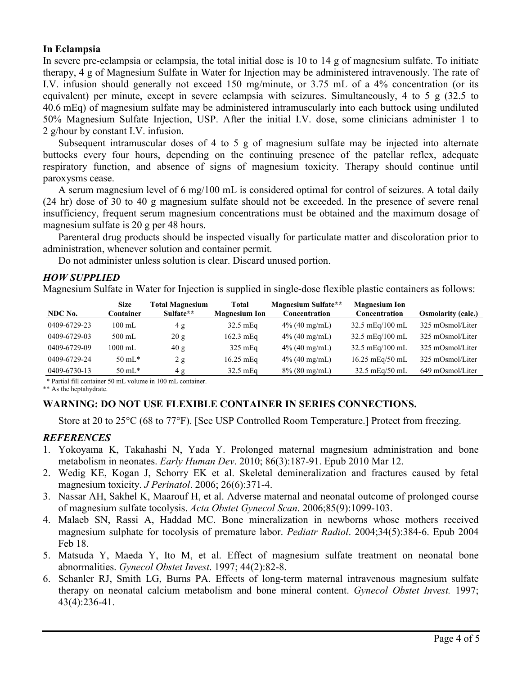### **In Eclampsia**

In severe pre-eclampsia or eclampsia, the total initial dose is 10 to 14 g of magnesium sulfate. To initiate therapy, 4 g of Magnesium Sulfate in Water for Injection may be administered intravenously. The rate of I.V. infusion should generally not exceed 150 mg/minute, or 3.75 mL of a 4% concentration (or its equivalent) per minute, except in severe eclampsia with seizures. Simultaneously, 4 to 5 g (32.5 to 40.6 mEq) of magnesium sulfate may be administered intramuscularly into each buttock using undiluted 50% Magnesium Sulfate Injection, USP. After the initial I.V. dose, some clinicians administer 1 to 2 g/hour by constant I.V. infusion.

Subsequent intramuscular doses of 4 to 5 g of magnesium sulfate may be injected into alternate buttocks every four hours, depending on the continuing presence of the patellar reflex, adequate respiratory function, and absence of signs of magnesium toxicity. Therapy should continue until paroxysms cease.

A serum magnesium level of 6 mg/100 mL is considered optimal for control of seizures. A total daily (24 hr) dose of 30 to 40 g magnesium sulfate should not be exceeded. In the presence of severe renal insufficiency, frequent serum magnesium concentrations must be obtained and the maximum dosage of magnesium sulfate is 20 g per 48 hours.

Parenteral drug products should be inspected visually for particulate matter and discoloration prior to administration, whenever solution and container permit.

Do not administer unless solution is clear. Discard unused portion.

#### *HOW SUPPLIED*

Magnesium Sulfate in Water for Injection is supplied in single-dose flexible plastic containers as follows:

| NDC No.      | <b>Size</b><br>Container | <b>Total Magnesium</b><br>Sulfate** | Total<br><b>Magnesium Ion</b> | <b>Magnesium Sulfate**</b><br>Concentration | <b>Magnesium Ion</b><br>Concentration | <b>Osmolarity (calc.)</b> |
|--------------|--------------------------|-------------------------------------|-------------------------------|---------------------------------------------|---------------------------------------|---------------------------|
| 0409-6729-23 | $100 \text{ mL}$         | 4 g                                 | $32.5$ mEq                    | $4\%$ (40 mg/mL)                            | 32.5 $mEq/100$ mL                     | 325 mOsmol/Liter          |
| 0409-6729-03 | $500$ mL                 | 20 g                                | $162.3$ mEq                   | $4\%$ (40 mg/mL)                            | 32.5 mEq/100 mL                       | 325 mOsmol/Liter          |
| 0409-6729-09 | $1000 \text{ mL}$        | 40g                                 | $325$ mEq                     | $4\%$ (40 mg/mL)                            | 32.5 mEq/100 mL                       | 325 mOsmol/Liter          |
| 0409-6729-24 | $50 \text{ mL}^*$        | 2g                                  | $16.25$ mEq                   | $4\%$ (40 mg/mL)                            | $16.25$ mEg/50 mL                     | 325 mOsmol/Liter          |
| 0409-6730-13 | $50 \text{ mL}^*$        | 4 g                                 | 32.5 mEq                      | $8\%$ (80 mg/mL)                            | 32.5 mEq/50 mL                        | 649 mOsmol/Liter          |

\* Partial fill container 50 mL volume in 100 mL container.

\*\* As the heptahydrate.

## **WARNING: DO NOT USE FLEXIBLE CONTAINER IN SERIES CONNECTIONS.**

Store at 20 to 25°C (68 to 77°F). [See USP Controlled Room Temperature.] Protect from freezing.

## *REFERENCES*

- 1. Yokoyama K, Takahashi N, Yada Y. Prolonged maternal magnesium administration and bone metabolism in neonates. *Early Human Dev*. 2010; 86(3):187-91. Epub 2010 Mar 12.
- 2. Wedig KE, Kogan J, Schorry EK et al. Skeletal demineralization and fractures caused by fetal magnesium toxicity. *J Perinatol*. 2006; 26(6):371-4.
- 3. Nassar AH, Sakhel K, Maarouf H, et al. Adverse maternal and neonatal outcome of prolonged course of magnesium sulfate tocolysis. *Acta Obstet Gynecol Scan*. 2006;85(9):1099-103.
- 4. Malaeb SN, Rassi A, Haddad MC. Bone mineralization in newborns whose mothers received magnesium sulphate for tocolysis of premature labor. *Pediatr Radiol*. 2004;34(5):384-6. Epub 2004 Feb 18.
- 5. Matsuda Y, Maeda Y, Ito M, et al. Effect of magnesium sulfate treatment on neonatal bone abnormalities. *Gynecol Obstet Invest*. 1997; 44(2):82-8.
- 6. Schanler RJ, Smith LG, Burns PA. Effects of long-term maternal intravenous magnesium sulfate therapy on neonatal calcium metabolism and bone mineral content. *Gynecol Obstet Invest.* 1997; 43(4):236-41.